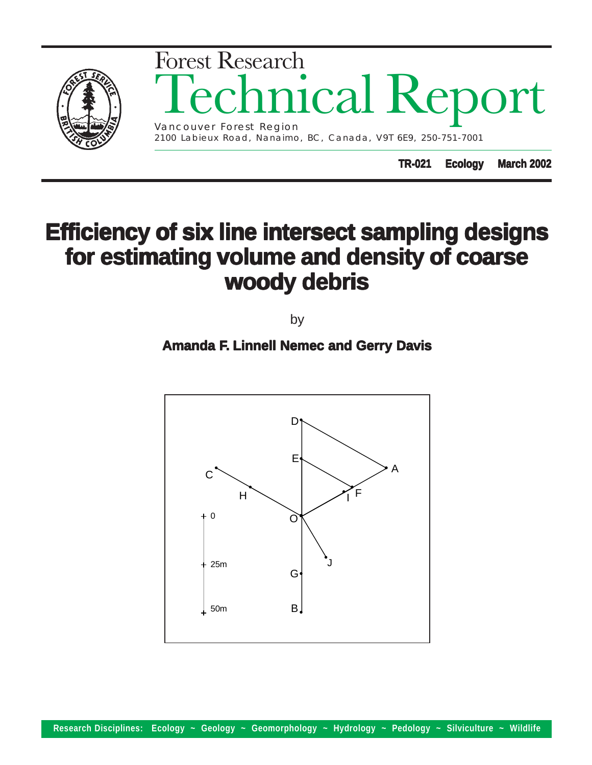

# **Efficiency of six line intersect sampling designs of six line intersect sampling designs for estimating volume and density of coarse for estimating volume and density of coarse woody debris woody debris**

by

## **Amanda F. Linnell Nemec and Gerry Davis**

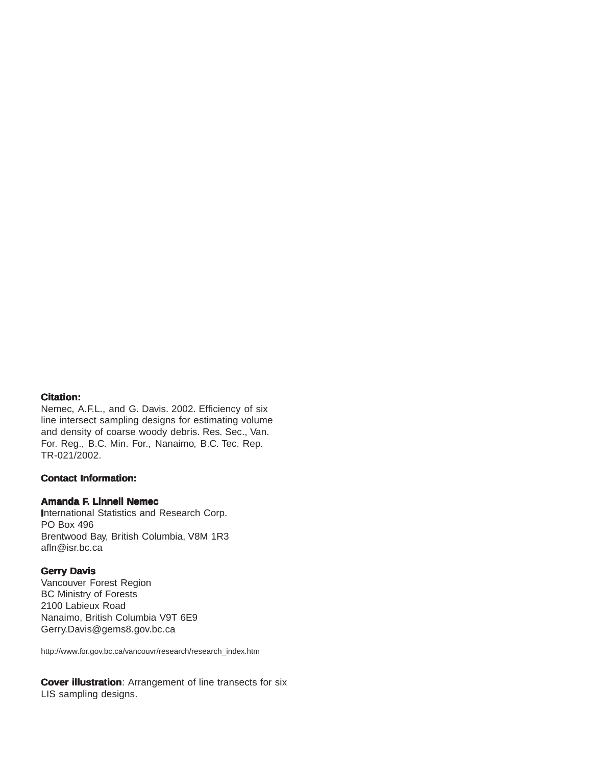#### **Citation: Citation:**

Nemec, A.F.L., and G. Davis. 2002. Efficiency of six line intersect sampling designs for estimating volume and density of coarse woody debris. Res. Sec., Van. For. Reg., B.C. Min. For., Nanaimo, B.C. Tec. Rep. TR-021/2002.

## **Contact Information: Contact Information:**

## **Amanda F. Linnell Nemec**

**I**nternational Statistics and Research Corp. PO Box 496 Brentwood Bay, British Columbia, V8M 1R3 afln@isr.bc.ca

#### **Gerry Davis**

Vancouver Forest Region BC Ministry of Forests 2100 Labieux Road Nanaimo, British Columbia V9T 6E9 Gerry.Davis@gems8.gov.bc.ca

http://www.for.gov.bc.ca/vancouvr/research/research\_index.htm

**Cover illustration**: Arrangement of line transects for six LIS sampling designs.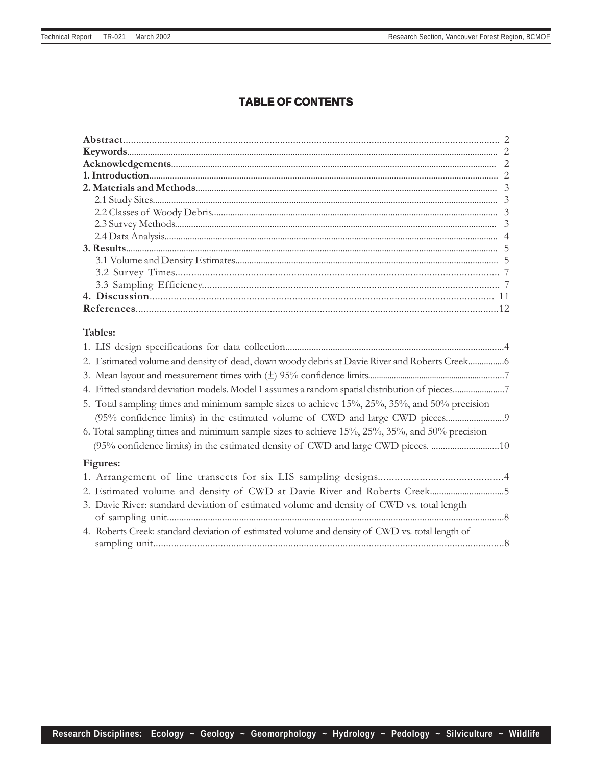## **TABLE OF CONTENTS**

| Tables:                                                                                         |  |
|-------------------------------------------------------------------------------------------------|--|
|                                                                                                 |  |
| 2. Estimated volume and density of dead, down woody debris at Davie River and Roberts Creek     |  |
|                                                                                                 |  |
| 4. Fitted standard deviation models. Model 1 assumes a random spatial distribution of pieces7   |  |
| 5. Total sampling times and minimum sample sizes to achieve 15%, 25%, 35%, and 50% precision    |  |
|                                                                                                 |  |
| 6. Total sampling times and minimum sample sizes to achieve 15%, 25%, 35%, and 50% precision    |  |
| (95% confidence limits) in the estimated density of CWD and large CWD pieces. 10                |  |
| Figures:                                                                                        |  |
|                                                                                                 |  |
| 2. Estimated volume and density of CWD at Davie River and Roberts Creek5                        |  |
| 3. Davie River: standard deviation of estimated volume and density of CWD vs. total length      |  |
|                                                                                                 |  |
|                                                                                                 |  |
| 4. Roberts Creek: standard deviation of estimated volume and density of CWD vs. total length of |  |
|                                                                                                 |  |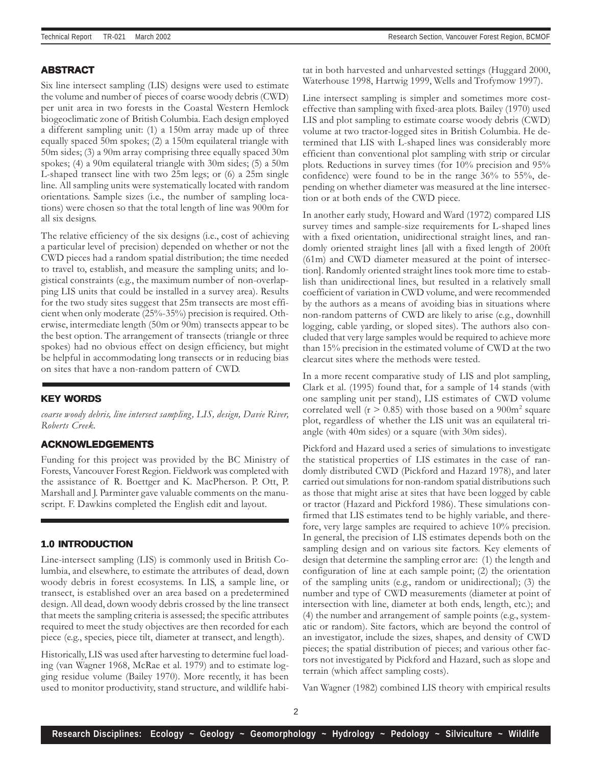#### **ABSTRACT**

Six line intersect sampling (LIS) designs were used to estimate the volume and number of pieces of coarse woody debris (CWD) per unit area in two forests in the Coastal Western Hemlock biogeoclimatic zone of British Columbia. Each design employed a different sampling unit: (1) a 150m array made up of three equally spaced 50m spokes; (2) a 150m equilateral triangle with 50m sides; (3) a 90m array comprising three equally spaced 30m spokes; (4) a 90m equilateral triangle with 30m sides; (5) a 50m L-shaped transect line with two 25m legs; or (6) a 25m single line. All sampling units were systematically located with random orientations. Sample sizes (i.e., the number of sampling locations) were chosen so that the total length of line was 900m for all six designs.

The relative efficiency of the six designs (i.e., cost of achieving a particular level of precision) depended on whether or not the CWD pieces had a random spatial distribution; the time needed to travel to, establish, and measure the sampling units; and logistical constraints (e.g., the maximum number of non-overlapping LIS units that could be installed in a survey area). Results for the two study sites suggest that 25m transects are most efficient when only moderate (25%-35%) precision is required. Otherwise, intermediate length (50m or 90m) transects appear to be the best option. The arrangement of transects (triangle or three spokes) had no obvious effect on design efficiency, but might be helpful in accommodating long transects or in reducing bias on sites that have a non-random pattern of CWD.

#### **KEY WORDS**

coarse woody debris, line intersect sampling, LIS, design, Davie River, Roberts Creek.

#### **ACKNOWLEDGEMENTS**

Funding for this project was provided by the BC Ministry of Forests, Vancouver Forest Region. Fieldwork was completed with the assistance of R. Boettger and K. MacPherson. P. Ott, P. Marshall and J. Parminter gave valuable comments on the manuscript. F. Dawkins completed the English edit and layout.

#### **1.0 INTRODUCTION**

Line-intersect sampling (LIS) is commonly used in British Columbia, and elsewhere, to estimate the attributes of dead, down woody debris in forest ecosystems. In LIS, a sample line, or transect, is established over an area based on a predetermined design. All dead, down woody debris crossed by the line transect that meets the sampling criteria is assessed; the specific attributes required to meet the study objectives are then recorded for each piece (e.g., species, piece tilt, diameter at transect, and length).

Historically, LIS was used after harvesting to determine fuel loading (van Wagner 1968, McRae et al. 1979) and to estimate logging residue volume (Bailey 1970). More recently, it has been used to monitor productivity, stand structure, and wildlife habitat in both harvested and unharvested settings (Huggard 2000, Waterhouse 1998, Hartwig 1999, Wells and Trofymow 1997).

Line intersect sampling is simpler and sometimes more costeffective than sampling with fixed-area plots. Bailey (1970) used LIS and plot sampling to estimate coarse woody debris (CWD) volume at two tractor-logged sites in British Columbia. He determined that LIS with L-shaped lines was considerably more efficient than conventional plot sampling with strip or circular plots. Reductions in survey times (for 10% precision and 95% confidence) were found to be in the range 36% to 55%, depending on whether diameter was measured at the line intersection or at both ends of the CWD piece.

In another early study, Howard and Ward (1972) compared LIS survey times and sample-size requirements for L-shaped lines with a fixed orientation, unidirectional straight lines, and randomly oriented straight lines [all with a fixed length of 200ft (61m) and CWD diameter measured at the point of intersection]. Randomly oriented straight lines took more time to establish than unidirectional lines, but resulted in a relatively small coefficient of variation in CWD volume, and were recommended by the authors as a means of avoiding bias in situations where non-random patterns of CWD are likely to arise (e.g., downhill logging, cable yarding, or sloped sites). The authors also concluded that very large samples would be required to achieve more than 15% precision in the estimated volume of CWD at the two clearcut sites where the methods were tested.

In a more recent comparative study of LIS and plot sampling, Clark et al. (1995) found that, for a sample of 14 stands (with one sampling unit per stand), LIS estimates of CWD volume correlated well ( $r > 0.85$ ) with those based on a  $900m^2$  square plot, regardless of whether the LIS unit was an equilateral triangle (with 40m sides) or a square (with 30m sides).

Pickford and Hazard used a series of simulations to investigate the statistical properties of LIS estimates in the case of randomly distributed CWD (Pickford and Hazard 1978), and later carried out simulations for non-random spatial distributions such as those that might arise at sites that have been logged by cable or tractor (Hazard and Pickford 1986). These simulations confirmed that LIS estimates tend to be highly variable, and therefore, very large samples are required to achieve 10% precision. In general, the precision of LIS estimates depends both on the sampling design and on various site factors. Key elements of design that determine the sampling error are: (1) the length and configuration of line at each sample point; (2) the orientation of the sampling units (e.g., random or unidirectional); (3) the number and type of CWD measurements (diameter at point of intersection with line, diameter at both ends, length, etc.); and (4) the number and arrangement of sample points (e.g., systematic or random). Site factors, which are beyond the control of an investigator, include the sizes, shapes, and density of CWD pieces; the spatial distribution of pieces; and various other factors not investigated by Pickford and Hazard, such as slope and terrain (which affect sampling costs).

Van Wagner (1982) combined LIS theory with empirical results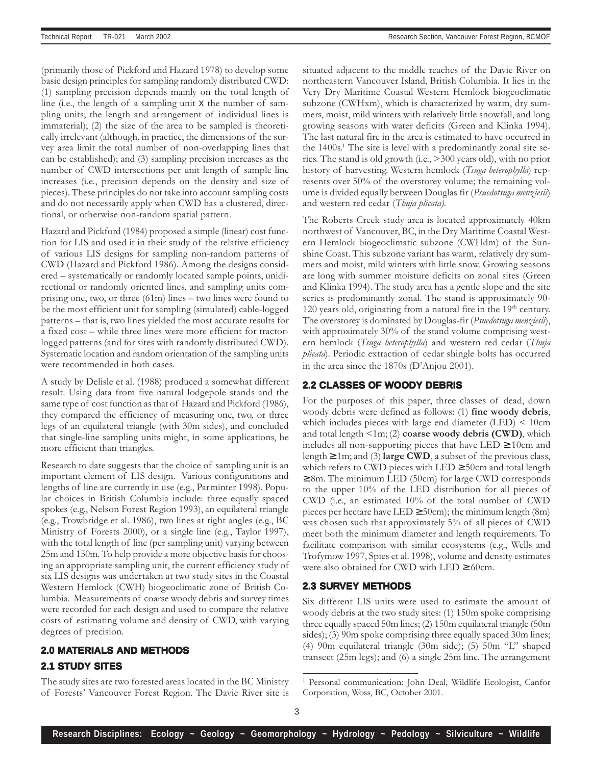(primarily those of Pickford and Hazard 1978) to develop some basic design principles for sampling randomly distributed CWD: (1) sampling precision depends mainly on the total length of line (i.e., the length of a sampling unit x the number of sampling units; the length and arrangement of individual lines is immaterial); (2) the size of the area to be sampled is theoretically irrelevant (although, in practice, the dimensions of the survey area limit the total number of non-overlapping lines that can be established); and (3) sampling precision increases as the number of CWD intersections per unit length of sample line increases (i.e., precision depends on the density and size of pieces). These principles do not take into account sampling costs and do not necessarily apply when CWD has a clustered, directional, or otherwise non-random spatial pattern.

Hazard and Pickford (1984) proposed a simple (linear) cost function for LIS and used it in their study of the relative efficiency of various LIS designs for sampling non-random patterns of CWD (Hazard and Pickford 1986). Among the designs considered – systematically or randomly located sample points, unidirectional or randomly oriented lines, and sampling units comprising one, two, or three (61m) lines – two lines were found to be the most efficient unit for sampling (simulated) cable-logged patterns – that is, two lines yielded the most accurate results for a fixed cost – while three lines were more efficient for tractorlogged patterns (and for sites with randomly distributed CWD). Systematic location and random orientation of the sampling units were recommended in both cases.

A study by Delisle et al. (1988) produced a somewhat different result. Using data from five natural lodgepole stands and the same type of cost function as that of Hazard and Pickford (1986), they compared the efficiency of measuring one, two, or three legs of an equilateral triangle (with 30m sides), and concluded that single-line sampling units might, in some applications, be more efficient than triangles.

Research to date suggests that the choice of sampling unit is an important element of LIS design. Various configurations and lengths of line are currently in use (e.g., Parminter 1998). Popular choices in British Columbia include: three equally spaced spokes (e.g., Nelson Forest Region 1993), an equilateral triangle (e.g., Trowbridge et al. 1986), two lines at right angles (e.g., BC Ministry of Forests 2000), or a single line (e.g., Taylor 1997), with the total length of line (per sampling unit) varying between 25m and 150m. To help provide a more objective basis for choosing an appropriate sampling unit, the current efficiency study of six LIS designs was undertaken at two study sites in the Coastal Western Hemlock (CWH) biogeoclimatic zone of British Columbia. Measurements of coarse woody debris and survey times were recorded for each design and used to compare the relative costs of estimating volume and density of CWD, with varying degrees of precision.

## **2.0 MATERIALS AND METHODS 2.1 STUDY SITES**

The study sites are two forested areas located in the BC Ministry of Forests' Vancouver Forest Region. The Davie River site is situated adjacent to the middle reaches of the Davie River on northeastern Vancouver Island, British Columbia. It lies in the Very Dry Maritime Coastal Western Hemlock biogeoclimatic subzone (CWHxm), which is characterized by warm, dry summers, moist, mild winters with relatively little snowfall, and long growing seasons with water deficits (Green and Klinka 1994). The last natural fire in the area is estimated to have occurred in the 1400s.<sup>1</sup> The site is level with a predominantly zonal site series. The stand is old growth (i.e., >300 years old), with no prior history of harvesting. Western hemlock (Tsuga heterophylla) represents over 50% of the overstorey volume; the remaining volume is divided equally between Douglas fir (Psuedotsuga menziesii) and western red cedar (Thuja plicata).

The Roberts Creek study area is located approximately 40km northwest of Vancouver, BC, in the Dry Maritime Coastal Western Hemlock biogeoclimatic subzone (CWHdm) of the Sunshine Coast. This subzone variant has warm, relatively dry summers and moist, mild winters with little snow. Growing seasons are long with summer moisture deficits on zonal sites (Green and Klinka 1994). The study area has a gentle slope and the site series is predominantly zonal. The stand is approximately 90- 120 years old, originating from a natural fire in the  $19<sup>th</sup>$  century. The overstorey is dominated by Douglas-fir (Psuedotsuga menziesii), with approximately 30% of the stand volume comprising western hemlock (Tsuga heterophylla) and western red cedar (Thuja *plicata*). Periodic extraction of cedar shingle bolts has occurred in the area since the 1870s (D'Anjou 2001).

## **2.2 CLASSES OF WOODY DEBRIS**

For the purposes of this paper, three classes of dead, down woody debris were defined as follows: (1) fine woody debris, which includes pieces with large end diameter (LED) < 10cm and total length  $\leq 1$ m; (2) coarse woody debris (CWD), which includes all non-supporting pieces that have  $LED \geq 10$ cm and length  $\geq 1$ m; and (3) large CWD, a subset of the previous class, which refers to CWD pieces with  $LED \geq 50$ cm and total length  $\geq 8$ m. The minimum LED (50cm) for large CWD corresponds to the upper 10% of the LED distribution for all pieces of CWD (i.e., an estimated 10% of the total number of CWD pieces per hectare have LED  $\geq$  50cm); the minimum length (8m) was chosen such that approximately 5% of all pieces of CWD meet both the minimum diameter and length requirements. To facilitate comparison with similar ecosystems (e.g., Wells and Trofymow 1997, Spies et al. 1998), volume and density estimates were also obtained for CWD with  $LED \geq 60$ cm.

## **2.3 SURVEY METHODS**

Six different LIS units were used to estimate the amount of woody debris at the two study sites: (1) 150m spoke comprising three equally spaced 50m lines; (2) 150m equilateral triangle (50m sides); (3) 90m spoke comprising three equally spaced 30m lines; (4) 90m equilateral triangle (30m side); (5) 50m "L" shaped transect (25m legs); and (6) a single 25m line. The arrangement

<sup>1</sup> Personal communication: John Deal, Wildlife Ecologist, Canfor Corporation, Woss, BC, October 2001.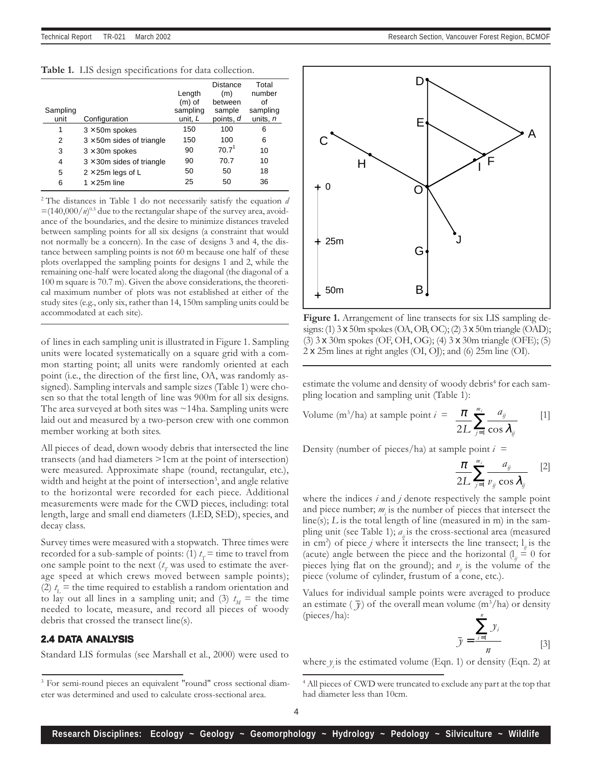Table 1. LIS design specifications for data collection.

| Sampling<br>unit | Configuration                     | Length<br>$(m)$ of<br>sampling<br>unit, L | Distance<br>(m)<br>between<br>sample<br>points, d | Total<br>number<br>of<br>sampling<br>units, n |
|------------------|-----------------------------------|-------------------------------------------|---------------------------------------------------|-----------------------------------------------|
| 1                | $3 \times 50$ m spokes            | 150                                       | 100                                               | 6                                             |
| 2                | $3 \times 50$ m sides of triangle | 150                                       | 100                                               | 6                                             |
| 3                | $3 \times 30$ m spokes            | 90                                        | 70.7 <sup>1</sup>                                 | 10                                            |
| 4                | $3 \times 30$ m sides of triangle | 90                                        | 70.7                                              | 10                                            |
| 5                | $2 \times 25$ m legs of L         | 50                                        | 50                                                | 18                                            |
| 6                | $1 \times 25$ m line              | 25                                        | 50                                                | 36                                            |

 $2$ <sup>2</sup> The distances in Table 1 do not necessarily satisfy the equation d  $\equiv$ (140,000/*n*)<sup>0.5</sup> due to the rectangular shape of the survey area, avoidance of the boundaries, and the desire to minimize distances traveled between sampling points for all six designs (a constraint that would not normally be a concern). In the case of designs 3 and 4, the distance between sampling points is not 60 m because one half of these plots overlapped the sampling points for designs 1 and 2, while the remaining one-half were located along the diagonal (the diagonal of a 100 m square is 70.7 m). Given the above considerations, the theoretical maximum number of plots was not established at either of the study sites (e.g., only six, rather than 14, 150m sampling units could be accommodated at each site).

of lines in each sampling unit is illustrated in Figure 1. Sampling units were located systematically on a square grid with a common starting point; all units were randomly oriented at each point (i.e., the direction of the first line, OA, was randomly assigned). Sampling intervals and sample sizes (Table 1) were chosen so that the total length of line was 900m for all six designs. The area surveyed at both sites was ~14ha. Sampling units were laid out and measured by a two-person crew with one common member working at both sites.

All pieces of dead, down woody debris that intersected the line transects (and had diameters >1cm at the point of intersection) were measured. Approximate shape (round, rectangular, etc.), width and height at the point of intersection<sup>3</sup>, and angle relative to the horizontal were recorded for each piece. Additional measurements were made for the CWD pieces, including: total length, large and small end diameters (LED, SED), species, and decay class.

Survey times were measured with a stopwatch. Three times were recorded for a sub-sample of points: (1)  $t_r$  = time to travel from one sample point to the next  $(t_{\scriptscriptstyle T}$  was used to estimate the average speed at which crews moved between sample points); (2)  $t_{\rm L}$  = the time required to establish a random orientation and to lay out all lines in a sampling unit; and (3)  $t_M$  = the time needed to locate, measure, and record all pieces of woody debris that crossed the transect line(s).

## **2.4 DATA ANALYSIS**

Standard LIS formulas (see Marshall et al., 2000) were used to



Figure 1. Arrangement of line transects for six LIS sampling designs: (1) 3 x 50m spokes (OA, OB, OC); (2) 3 x 50m triangle (OAD); (3) 3 x 30m spokes (OF, OH, OG); (4) 3 x 30m triangle (OFE); (5)  $2 \times 25$ m lines at right angles (OI, OJ); and (6)  $25$ m line (OI).

estimate the volume and density of woody debris<sup>4</sup> for each sampling location and sampling unit (Table 1):

Volume (m<sup>3</sup>/ha) at sample point 
$$
i = \frac{\pi}{2L} \sum_{j=1}^{m_i} \frac{a_{ij}}{\cos \lambda_{ij}}
$$
 [1]

Density (number of pieces/ha) at sample point  $i =$ 

$$
\frac{\pi}{2L} \sum_{j=1}^{m_i} \frac{a_{ij}}{v_{ij} \cos \lambda_{ij}} \quad [2]
$$

where the indices  $i$  and  $j$  denote respectively the sample point and piece number;  $m_i$  is the number of pieces that intersect the  $line(s); L$  is the total length of line (measured in m) in the sampling unit (see Table 1);  $a<sub>n</sub>$  is the cross-sectional area (measured in cm<sup>2</sup>) of piece *j* where it intersects the line transect;  $l_{ij}$  is the (acute) angle between the piece and the horizontal  $\left( \frac{1}{n} \right) = 0$  for pieces lying flat on the ground); and  $v_{ii}$  is the volume of the piece (volume of cylinder, frustum of a cone, etc.).

Values for individual sample points were averaged to produce an estimate (  $\bar{y}$ ) of the overall mean volume (m $^3$ /ha) or density (pieces/ha): n

$$
\bar{y} = \frac{\sum_{i=1}^{n} y_i}{n}
$$
 [3]

where  $y_i$  is the estimated volume (Eqn. 1) or density (Eqn. 2) at

<sup>&</sup>lt;sup>3</sup> For semi-round pieces an equivalent "round" cross sectional diameter was determined and used to calculate cross-sectional area.

<sup>&</sup>lt;sup>4</sup> All pieces of CWD were truncated to exclude any part at the top that had diameter less than 10cm.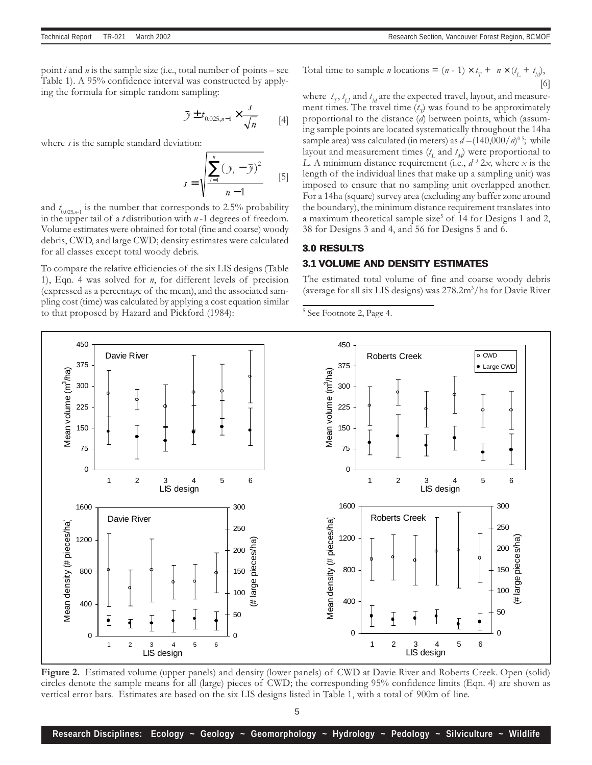point *i* and *n* is the sample size (i.e., total number of points – see Table 1). A 95% confidence interval was constructed by applying the formula for simple random sampling:

$$
\bar{y} \pm t_{0.025, n-1} \times \frac{s}{\sqrt{n}} \qquad [4]
$$

where  $s$  is the sample standard deviation:

$$
s = \sqrt{\frac{\sum_{i=1}^{n} (y_i - \bar{y})^2}{n - 1}}
$$
 [5]

and  $t_{0.025,n-1}$  is the number that corresponds to 2.5% probability in the upper tail of a *t* distribution with  $n-1$  degrees of freedom. Volume estimates were obtained for total (fine and coarse) woody debris, CWD, and large CWD; density estimates were calculated for all classes except total woody debris.

To compare the relative efficiencies of the six LIS designs (Table 1), Eqn. 4 was solved for  $n$ , for different levels of precision (expressed as a percentage of the mean), and the associated sampling cost (time) was calculated by applying a cost equation similar to that proposed by Hazard and Pickford (1984):

Total time to sample *n* locations = 
$$
(n - 1) \times t_T + n \times (t_L + t_M)
$$
,  
[6]

where  $t_{\scriptscriptstyle T}, t_{\scriptscriptstyle L},$  and  $t_{\scriptscriptstyle M}$  are the expected travel, layout, and measurement times. The travel time  $(t_p)$  was found to be approximately proportional to the distance  $(d)$  between points, which (assuming sample points are located systematically throughout the 14ha sample area) was calculated (in meters) as  $d = (140,000/m)^{0.5}$ ; while layout and measurement times  $(t_{\rm L}$  and  $t_{\rm M}$ ) were proportional to L. A minimum distance requirement (i.e.,  $d^3 2x$ , where x is the length of the individual lines that make up a sampling unit) was imposed to ensure that no sampling unit overlapped another. For a 14ha (square) survey area (excluding any buffer zone around the boundary), the minimum distance requirement translates into a maximum theoretical sample size<sup>5</sup> of 14 for Designs 1 and 2, 38 for Designs 3 and 4, and 56 for Designs 5 and 6.

## **3.0 RESULTS 3.1 VOLUME AND DENSITY ESTIMATES**

The estimated total volume of fine and coarse woody debris (average for all six LIS designs) was 278.2m<sup>3</sup>/ha for Davie River

5 See Footnote 2, Page 4.



Figure 2. Estimated volume (upper panels) and density (lower panels) of CWD at Davie River and Roberts Creek. Open (solid) circles denote the sample means for all (large) pieces of CWD; the corresponding 95% confidence limits (Eqn. 4) are shown as vertical error bars. Estimates are based on the six LIS designs listed in Table 1, with a total of 900m of line.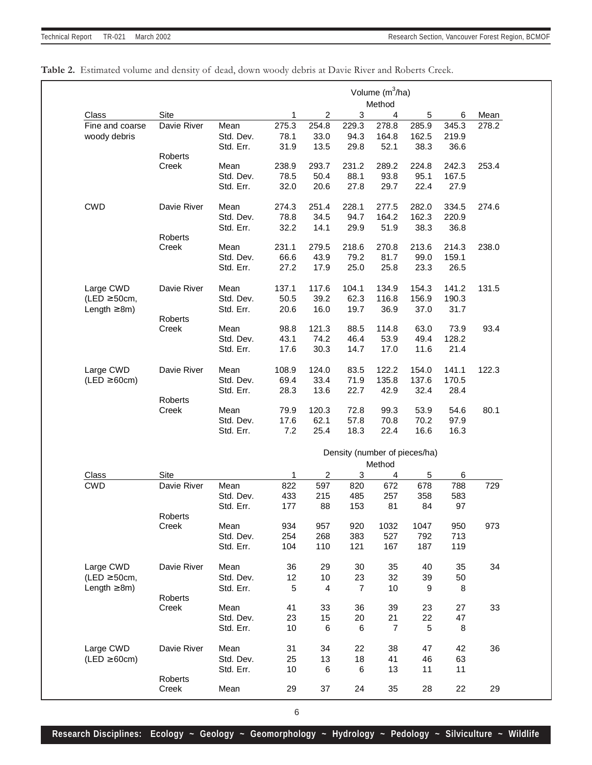|                   |                  |           |       |                         |                           | Volume (m <sup>3</sup> /ha)<br>Method |                               |       |       |
|-------------------|------------------|-----------|-------|-------------------------|---------------------------|---------------------------------------|-------------------------------|-------|-------|
| Class             | Site             |           | 1     | 2                       | $\ensuremath{\mathsf{3}}$ | 4                                     | 5                             | 6     | Mean  |
| Fine and coarse   | Davie River      | Mean      | 275.3 | 254.8                   | 229.3                     | 278.8                                 | 285.9                         | 345.3 | 278.2 |
| woody debris      |                  | Std. Dev. | 78.1  | 33.0                    | 94.3                      | 164.8                                 | 162.5                         | 219.9 |       |
|                   |                  | Std. Err. | 31.9  | 13.5                    | 29.8                      | 52.1                                  | 38.3                          | 36.6  |       |
|                   | Roberts          |           |       |                         |                           |                                       |                               |       |       |
|                   | Creek            | Mean      | 238.9 | 293.7                   | 231.2                     | 289.2                                 | 224.8                         | 242.3 | 253.4 |
|                   |                  | Std. Dev. | 78.5  | 50.4                    | 88.1                      | 93.8                                  | 95.1                          | 167.5 |       |
|                   |                  | Std. Err. | 32.0  | 20.6                    | 27.8                      | 29.7                                  | 22.4                          | 27.9  |       |
|                   |                  |           |       |                         |                           |                                       |                               |       |       |
| <b>CWD</b>        | Davie River      | Mean      | 274.3 | 251.4                   | 228.1                     | 277.5                                 | 282.0                         | 334.5 | 274.6 |
|                   |                  | Std. Dev. | 78.8  | 34.5                    | 94.7                      | 164.2                                 | 162.3                         | 220.9 |       |
|                   |                  | Std. Err. | 32.2  | 14.1                    | 29.9                      | 51.9                                  | 38.3                          | 36.8  |       |
|                   | <b>Roberts</b>   |           |       |                         |                           |                                       |                               |       |       |
|                   | Creek            | Mean      | 231.1 | 279.5                   | 218.6                     | 270.8                                 | 213.6                         | 214.3 | 238.0 |
|                   |                  | Std. Dev. | 66.6  | 43.9                    | 79.2                      | 81.7                                  | 99.0                          | 159.1 |       |
|                   |                  | Std. Err. | 27.2  | 17.9                    | 25.0                      | 25.8                                  | 23.3                          | 26.5  |       |
| Large CWD         | Davie River      | Mean      | 137.1 | 117.6                   | 104.1                     | 134.9                                 | 154.3                         | 141.2 | 131.5 |
| (LED $\geq$ 50cm, |                  | Std. Dev. | 50.5  | 39.2                    | 62.3                      | 116.8                                 | 156.9                         | 190.3 |       |
| Length $\geq$ 8m) |                  | Std. Err. | 20.6  | 16.0                    | 19.7                      | 36.9                                  | 37.0                          | 31.7  |       |
|                   | <b>Roberts</b>   |           |       |                         |                           |                                       |                               |       |       |
|                   | Creek            | Mean      | 98.8  | 121.3                   | 88.5                      | 114.8                                 | 63.0                          | 73.9  | 93.4  |
|                   |                  | Std. Dev. | 43.1  | 74.2                    | 46.4                      | 53.9                                  | 49.4                          | 128.2 |       |
|                   |                  | Std. Err. | 17.6  | 30.3                    | 14.7                      | 17.0                                  | 11.6                          | 21.4  |       |
|                   |                  |           |       |                         |                           |                                       |                               |       |       |
| Large CWD         | Davie River      | Mean      | 108.9 | 124.0                   | 83.5                      | 122.2                                 | 154.0                         | 141.1 | 122.3 |
| $(LED \ge 60cm)$  |                  | Std. Dev. | 69.4  | 33.4                    | 71.9                      | 135.8                                 | 137.6                         | 170.5 |       |
|                   |                  | Std. Err. | 28.3  | 13.6                    | 22.7                      | 42.9                                  | 32.4                          | 28.4  |       |
|                   | Roberts          |           |       |                         |                           |                                       |                               |       |       |
|                   | Creek            | Mean      | 79.9  | 120.3                   | 72.8                      | 99.3                                  | 53.9                          | 54.6  | 80.1  |
|                   |                  | Std. Dev. | 17.6  | 62.1                    | 57.8                      | 70.8                                  | 70.2                          | 97.9  |       |
|                   |                  | Std. Err. | 7.2   | 25.4                    | 18.3                      | 22.4                                  | 16.6                          | 16.3  |       |
|                   |                  |           |       |                         |                           |                                       | Density (number of pieces/ha) |       |       |
|                   |                  |           |       |                         |                           | Method                                |                               |       |       |
| Class             | Site             |           | 1     | $\overline{c}$          | 3                         | 4                                     | 5                             | 6     |       |
| <b>CWD</b>        | Davie River      | Mean      | 822   | 597                     | 820                       | 672                                   | 678                           | 788   | 729   |
|                   |                  | Std. Dev. | 433   | 215                     | 485                       | 257                                   | 358                           | 583   |       |
|                   |                  | Std. Err. | 177   | 88                      | 153                       | 81                                    | 84                            | 97    |       |
|                   | Roberts<br>Creek | Mean      | 934   | 957                     | 920                       | 1032                                  | 1047                          | 950   | 973   |
|                   |                  | Std. Dev. | 254   | 268                     | 383                       | 527                                   | 792                           | 713   |       |
|                   |                  | Std. Err. | 104   | 110                     | 121                       | 167                                   | 187                           | 119   |       |
|                   |                  |           |       |                         |                           |                                       |                               |       |       |
| Large CWD         | Davie River      | Mean      | 36    | 29                      | 30                        | 35                                    | 40                            | 35    | 34    |
| (LED $\geq$ 50cm, |                  | Std. Dev. | 12    | 10                      | 23                        | 32                                    | 39                            | 50    |       |
| Length $\geq$ 8m) |                  | Std. Err. | 5     | $\overline{\mathbf{4}}$ | $\overline{7}$            | 10                                    | 9                             | 8     |       |
|                   | Roberts          |           |       |                         |                           |                                       |                               |       |       |
|                   | Creek            | Mean      | 41    | 33                      | 36                        | 39                                    | 23                            | 27    | 33    |
|                   |                  | Std. Dev. | 23    | 15                      | 20                        | 21                                    | 22                            | 47    |       |
|                   |                  | Std. Err. | $10$  | 6                       | 6                         | $\overline{7}$                        | 5                             | 8     |       |
| Large CWD         | Davie River      | Mean      | 31    | 34                      | 22                        | 38                                    | 47                            | 42    | 36    |
| $(LED \ge 60cm)$  |                  | Std. Dev. | 25    | 13                      | 18                        | 41                                    | 46                            | 63    |       |
|                   |                  | Std. Err. | 10    | 6                       | 6                         | 13                                    | 11                            | 11    |       |
|                   | Roberts          |           |       |                         |                           |                                       |                               |       |       |
|                   | Creek            | Mean      | 29    | 37                      | 24                        | 35                                    | 28                            | 22    | 29    |
|                   |                  |           |       |                         |                           |                                       |                               |       |       |

## Table 2. Estimated volume and density of dead, down woody debris at Davie River and Roberts Creek.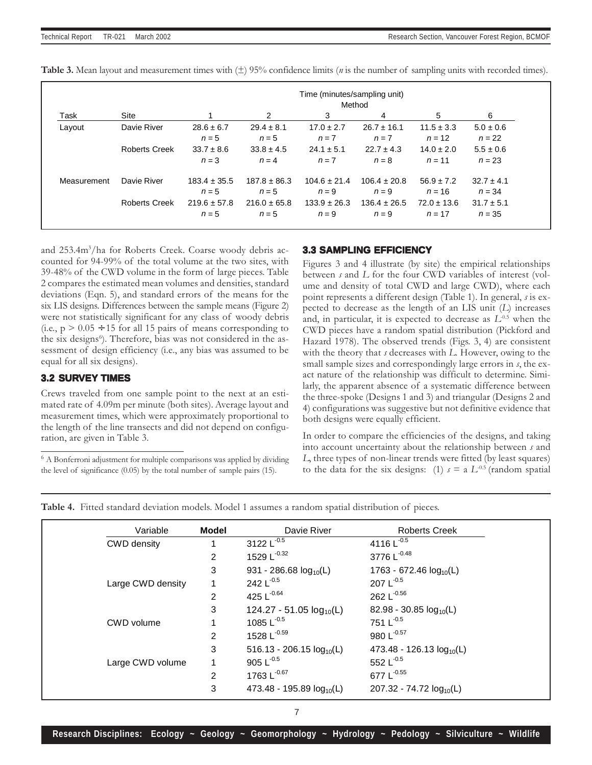|             |                      |                  |                  | Time (minutes/sampling unit)<br>Method |                  |                 |                |
|-------------|----------------------|------------------|------------------|----------------------------------------|------------------|-----------------|----------------|
| Task        | Site                 |                  | $\mathcal{P}$    | 3                                      | 4                | 5               | 6              |
| Layout      | Davie River          | $28.6 \pm 6.7$   | $29.4 \pm 8.1$   | $17.0 \pm 2.7$                         | $26.7 \pm 16.1$  | $11.5 \pm 3.3$  | $5.0 \pm 0.6$  |
|             |                      | $n=5$            | $n=5$            | $n = 7$                                | $n = 7$          | $n = 12$        | $n = 22$       |
|             | <b>Roberts Creek</b> | $33.7 \pm 8.6$   | $33.8 \pm 4.5$   | $24.1 \pm 5.1$                         | $22.7 \pm 4.3$   | $14.0 \pm 2.0$  | $5.5 \pm 0.6$  |
|             |                      | $n = 3$          | $n = 4$          | $n = 7$                                | $n = 8$          | $n = 11$        | $n = 23$       |
| Measurement | Davie River          | $183.4 \pm 35.5$ | $187.8 \pm 86.3$ | $104.6 \pm 21.4$                       | $106.4 \pm 20.8$ | $56.9 \pm 7.2$  | $32.7 \pm 4.1$ |
|             |                      | $n = 5$          | $n=5$            | $n = 9$                                | $n = 9$          | $n = 16$        | $n = 34$       |
|             | Roberts Creek        | $219.6 \pm 57.8$ | $216.0 \pm 65.8$ | $133.9 \pm 26.3$                       | $136.4 \pm 26.5$ | $72.0 \pm 13.6$ | $31.7 \pm 5.1$ |
|             |                      | $n = 5$          | $n=5$            | $n = 9$                                | $n = 9$          | $n = 17$        | $n = 35$       |

**Table 3.** Mean layout and measurement times with  $(\pm)$  95% confidence limits (*n* is the number of sampling units with recorded times).

and 253.4m<sup>3</sup>/ha for Roberts Creek. Coarse woody debris accounted for 94-99% of the total volume at the two sites, with 39-48% of the CWD volume in the form of large pieces. Table 2 compares the estimated mean volumes and densities, standard deviations (Eqn. 5), and standard errors of the means for the six LIS designs. Differences between the sample means (Figure 2) were not statistically significant for any class of woody debris (i.e.,  $p > 0.05 \div 15$  for all 15 pairs of means corresponding to the six designs<sup>6</sup>). Therefore, bias was not considered in the assessment of design efficiency (i.e., any bias was assumed to be equal for all six designs).

## **3.2 SURVEY TIMES**

Crews traveled from one sample point to the next at an estimated rate of 4.09m per minute (both sites). Average layout and measurement times, which were approximately proportional to the length of the line transects and did not depend on configuration, are given in Table 3.

 $6$  A Bonferroni adjustment for multiple comparisons was applied by dividing the level of significance (0.05) by the total number of sample pairs (15).

## **3.3 SAMPLING EFFICIENCY**

Figures 3 and 4 illustrate (by site) the empirical relationships between s and L for the four CWD variables of interest (volume and density of total CWD and large CWD), where each point represents a different design (Table 1). In general, s is expected to decrease as the length of an LIS unit (L) increases and, in particular, it is expected to decrease as  $L^{0.5}$  when the CWD pieces have a random spatial distribution (Pickford and Hazard 1978). The observed trends (Figs. 3, 4) are consistent with the theory that s decreases with L. However, owing to the small sample sizes and correspondingly large errors in s, the exact nature of the relationship was difficult to determine. Similarly, the apparent absence of a systematic difference between the three-spoke (Designs 1 and 3) and triangular (Designs 2 and 4) configurations was suggestive but not definitive evidence that both designs were equally efficient.

In order to compare the efficiencies of the designs, and taking into account uncertainty about the relationship between s and L, three types of non-linear trends were fitted (by least squares) to the data for the six designs: (1)  $s = a L^{0.5}$  (random spatial

Table 4. Fitted standard deviation models. Model 1 assumes a random spatial distribution of pieces.

| Variable          | <b>Model</b> | Davie River                   | <b>Roberts Creek</b>          |
|-------------------|--------------|-------------------------------|-------------------------------|
| CWD density       |              | 3122 $L^{-0.5}$               | 4116 $L^{-0.5}$               |
|                   | 2            | 1529 $L^{-0.32}$              | 3776 L <sup>-0.48</sup>       |
|                   | 3            | 931 - 286.68 $log_{10}(L)$    | 1763 - 672.46 $log_{10}(L)$   |
| Large CWD density |              | 242 $L^{-0.5}$                | 207 $L^{-0.5}$                |
|                   | 2            | 425 $L^{-0.64}$               | 262 $L^{0.56}$                |
|                   | 3            | 124.27 - 51.05 $log_{10}(L)$  | 82.98 - 30.85 $log_{10}(L)$   |
| CWD volume        |              | 1085 $L^{-0.5}$               | 751 $L^{-0.5}$                |
|                   | 2            | 1528 $L^{-0.59}$              | 980 L <sup>-0.57</sup>        |
|                   | 3            | 516.13 - 206.15 $log_{10}(L)$ | 473.48 - 126.13 $log_{10}(L)$ |
| Large CWD volume  |              | 905 $L^{-0.5}$                | 552 $L^{-0.5}$                |
|                   | 2            | 1763 $L^{0.67}$               | 677 $L^{-0.55}$               |
|                   | 3            | 473.48 - 195.89 $log_{10}(L)$ | $207.32 - 74.72 \log_{10}(L)$ |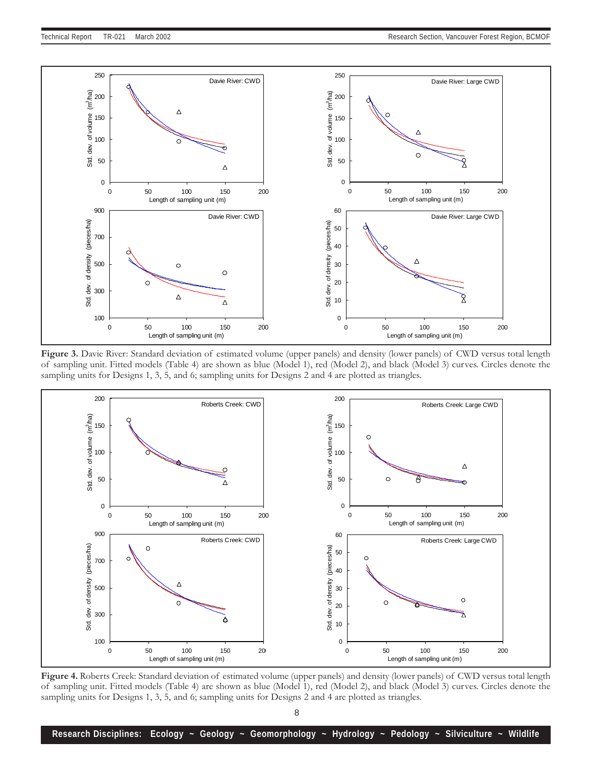

Figure 3. Davie River: Standard deviation of estimated volume (upper panels) and density (lower panels) of CWD versus total length of sampling unit. Fitted models (Table 4) are shown as blue (Model 1), red (Model 2), and black (Model 3) curves. Circles denote the sampling units for Designs 1, 3, 5, and 6; sampling units for Designs 2 and 4 are plotted as triangles.



Figure 4. Roberts Creek: Standard deviation of estimated volume (upper panels) and density (lower panels) of CWD versus total length of sampling unit. Fitted models (Table 4) are shown as blue (Model 1), red (Model 2), and black (Model 3) curves. Circles denote the sampling units for Designs 1, 3, 5, and 6; sampling units for Designs 2 and 4 are plotted as triangles.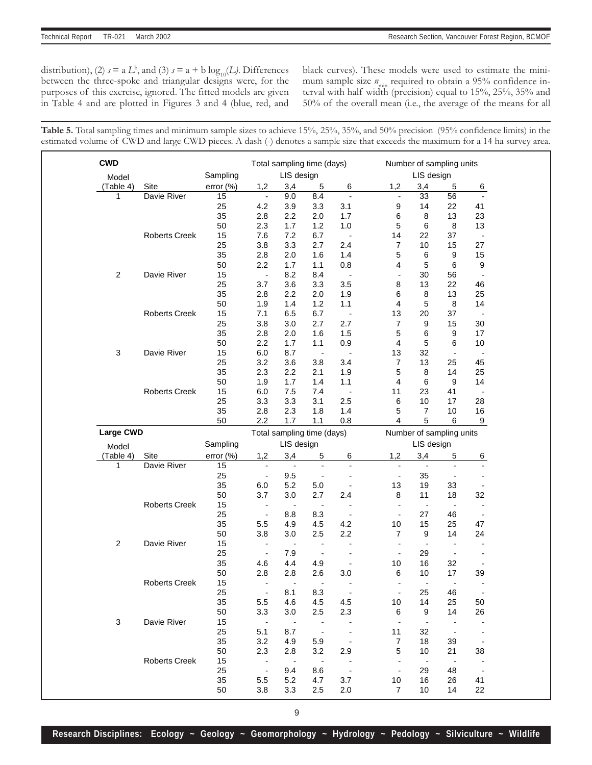distribution), (2)  $s = a L^b$ , and (3)  $s = a + b \log_{10}(L)$ . Differences between the three-spoke and triangular designs were, for the purposes of this exercise, ignored. The fitted models are given in Table 4 and are plotted in Figures 3 and 4 (blue, red, and

black curves). These models were used to estimate the minimum sample size  $n_{\text{min}}$  required to obtain a 95% confidence interval with half width (precision) equal to 15%, 25%, 35% and 50% of the overall mean (i.e., the average of the means for all

Table 5. Total sampling times and minimum sample sizes to achieve 15%, 25%, 35%, and 50% precision (95% confidence limits) in the estimated volume of CWD and large CWD pieces. A dash (-) denotes a sample size that exceeds the maximum for a 14 ha survey area.

| <b>CWD</b> |                      |           |                          | Total sampling time (days) |                          |                          |                          | Number of sampling units |                          |                          |
|------------|----------------------|-----------|--------------------------|----------------------------|--------------------------|--------------------------|--------------------------|--------------------------|--------------------------|--------------------------|
| Model      |                      | Sampling  |                          | LIS design                 |                          |                          |                          | LIS design               |                          |                          |
| (Table 4)  | Site                 | error(% ) | 1,2                      | 3,4                        | 5                        | 6                        | 1,2                      | 3,4                      | 5                        | 6                        |
| 1          | Davie River          | 15        | $\overline{\phantom{a}}$ | 9.0                        | 8.4                      | $\blacksquare$           | $\overline{\phantom{a}}$ | 33                       | 56                       |                          |
|            |                      | 25        | 4.2                      | 3.9                        | 3.3                      | 3.1                      | 9                        | 14                       | 22                       | 41                       |
|            |                      | 35        | 2.8                      | 2.2                        | 2.0                      | 1.7                      | 6                        | 8                        | 13                       | 23                       |
|            |                      | 50        | 2.3                      | 1.7                        | 1.2                      | 1.0                      | 5                        | 6                        | 8                        | 13                       |
|            | Roberts Creek        | 15        | 7.6                      | 7.2                        | 6.7                      | $\overline{\phantom{0}}$ | 14                       | 22                       | 37                       | $\overline{\phantom{a}}$ |
|            |                      | 25        | 3.8                      | 3.3                        | 2.7                      | 2.4                      | $\overline{7}$           | 10                       | 15                       | 27                       |
|            |                      | 35        | 2.8                      | 2.0                        | 1.6                      | 1.4                      | 5                        | 6                        | 9                        | 15                       |
|            |                      | 50        | 2.2                      | 1.7                        | 1.1                      | 0.8                      | 4                        | 5                        | 6                        | 9                        |
| $\sqrt{2}$ | Davie River          | 15        | $\overline{\phantom{a}}$ | 8.2                        | 8.4                      | $\overline{a}$           | $\overline{a}$           | 30                       | 56                       | $\overline{\phantom{m}}$ |
|            |                      | 25        | 3.7                      | 3.6                        | 3.3                      | 3.5                      | 8                        | 13                       | 22                       | 46                       |
|            |                      | 35        | 2.8                      | 2.2                        | 2.0                      | 1.9                      | 6                        | 8                        | 13                       | 25                       |
|            |                      | 50        | 1.9                      | 1.4                        | 1.2                      | 1.1                      | 4                        | 5                        | 8                        | 14                       |
|            | Roberts Creek        | 15        | 7.1                      | 6.5                        | 6.7                      | $\sim$                   | 13                       | 20                       | 37                       | $\overline{\phantom{a}}$ |
|            |                      | 25        | 3.8                      | $3.0\,$                    | 2.7                      | 2.7                      | $\overline{7}$           | 9                        | 15                       | 30                       |
|            |                      | 35        | 2.8                      | 2.0                        | 1.6                      | 1.5                      | 5                        | 6                        | $\boldsymbol{9}$         | 17                       |
|            |                      | 50        | 2.2                      | 1.7                        | 1.1                      | 0.9                      | 4                        | 5                        | 6                        | 10                       |
| 3          | Davie River          | 15        | 6.0                      | 8.7                        | $\overline{\phantom{a}}$ | $\overline{a}$           | 13                       | 32                       | $\blacksquare$           | $\overline{\phantom{a}}$ |
|            |                      | 25        | 3.2                      | 3.6                        | 3.8                      | 3.4                      | 7                        | 13                       | 25                       | 45                       |
|            |                      | 35        | 2.3                      | 2.2                        | 2.1                      | 1.9                      | 5                        | 8                        | 14                       | 25                       |
|            |                      | 50        | 1.9                      | 1.7                        | 1.4                      | 1.1                      | 4                        | 6                        | 9                        | 14                       |
|            | <b>Roberts Creek</b> | 15        | 6.0                      | 7.5                        | 7.4                      | $\overline{\phantom{0}}$ | 11                       | 23                       | 41                       | $\overline{\phantom{a}}$ |
|            |                      | 25        | 3.3                      | 3.3                        | 3.1                      | 2.5                      | 6                        | 10                       | 17                       | 28                       |
|            |                      | 35        | 2.8                      | 2.3                        | 1.8                      | 1.4                      | 5                        | $\overline{7}$           | $10$                     | 16                       |
|            |                      | 50        | 2.2                      | 1.7                        | $1.1$                    | 0.8                      | $\overline{4}$           | 5                        | 6                        | 9                        |
| Large CWD  |                      |           |                          | Total sampling time (days) |                          |                          |                          | Number of sampling units |                          |                          |
| Model      |                      | Sampling  |                          | LIS design                 |                          |                          |                          | LIS design               |                          |                          |
| (Table 4)  | Site                 | error (%) | 1,2                      | 3,4                        | 5                        | 6                        | 1,2                      | 3,4                      | 5                        | 6                        |
| 1          | Davie River          | 15        | $\overline{\phantom{a}}$ | $\overline{\phantom{a}}$   | $\overline{\phantom{a}}$ | $\overline{\phantom{a}}$ | $\overline{\phantom{a}}$ | $\frac{1}{2}$            | $\overline{\phantom{a}}$ | $\overline{\phantom{a}}$ |
|            |                      | 25        | $\overline{\phantom{a}}$ | 9.5                        | $\overline{\phantom{a}}$ | $\overline{a}$           |                          | 35                       | $\overline{\phantom{a}}$ |                          |
|            |                      |           |                          |                            |                          |                          |                          |                          |                          |                          |
|            |                      |           |                          |                            |                          |                          | $\overline{\phantom{a}}$ |                          |                          |                          |
|            |                      | 35        | 6.0                      | 5.2                        | $5.0\,$                  | $\overline{a}$           | 13                       | 19                       | 33                       |                          |
|            |                      | 50        | 3.7                      | 3.0                        | 2.7                      | 2.4                      | 8                        | 11                       | 18                       | 32                       |
|            | Roberts Creek        | 15        | $\overline{\phantom{a}}$ | $\overline{\phantom{a}}$   | $\overline{\phantom{a}}$ |                          | $\overline{\phantom{a}}$ | $\overline{\phantom{a}}$ | $\blacksquare$           | $\overline{a}$           |
|            |                      | 25        | $\overline{\phantom{a}}$ | 8.8                        | 8.3                      | $\overline{a}$           | $\overline{\phantom{a}}$ | 27                       | 46                       | $\overline{\phantom{a}}$ |
|            |                      | 35        | 5.5                      | 4.9                        | 4.5                      | 4.2                      | 10                       | 15                       | 25                       | 47                       |
|            |                      | 50        | 3.8                      | 3.0                        | 2.5                      | 2.2                      | $\overline{7}$           | 9                        | 14                       | 24                       |
| $\sqrt{2}$ | Davie River          | 15        | $\overline{\phantom{a}}$ | $\overline{\phantom{a}}$   | $\overline{a}$           | $\overline{a}$           | $\overline{\phantom{a}}$ | $\overline{\phantom{a}}$ | $\overline{\phantom{a}}$ |                          |
|            |                      | 25        | $\blacksquare$           | 7.9                        | $\overline{\phantom{a}}$ |                          | $\overline{\phantom{a}}$ | 29                       | $\overline{\phantom{a}}$ |                          |
|            |                      | 35        | 4.6                      | 4.4                        | 4.9                      | $\overline{a}$           | 10                       | 16                       | 32                       | $\overline{a}$           |
|            |                      | 50        | 2.8                      | 2.8                        | 2.6                      | 3.0                      | 6                        | 10                       | 17                       | 39                       |
|            | <b>Roberts Creek</b> | 15        | $\blacksquare$           | $\blacksquare$             | $\overline{a}$           |                          | $\blacksquare$           | $\overline{a}$           | $\overline{a}$           | $\overline{a}$           |
|            |                      | 25        | $\blacksquare$           | 8.1                        | 8.3                      | $\sim$ $-$               |                          | 25                       | 46                       | $\overline{\phantom{a}}$ |
|            |                      | 35        | 5.5                      | 4.6                        | 4.5                      | 4.5                      | 10                       | 14                       | 25                       | 50                       |
|            |                      | 50        | 3.3                      | 3.0                        | 2.5                      | 2.3                      | 6                        | 9                        | 14                       | 26                       |
| $\sqrt{3}$ | Davie River          | 15        | $\blacksquare$           | $\overline{\phantom{a}}$   |                          |                          | $\overline{\phantom{a}}$ |                          |                          |                          |
|            |                      | 25        | 5.1                      | 8.7                        |                          |                          | 11                       | 32                       | $\overline{\phantom{a}}$ |                          |
|            |                      | 35        | 3.2                      | 4.9                        | 5.9                      |                          | 7                        | 18                       | 39                       |                          |
|            |                      | 50        | 2.3                      | 2.8                        | 3.2                      | 2.9                      | 5                        | 10                       | 21                       | 38                       |
|            | <b>Roberts Creek</b> | 15        | $\overline{\phantom{a}}$ | $\sim$                     | $\overline{a}$           |                          | $\overline{\phantom{a}}$ | $\overline{\phantom{a}}$ | $\overline{\phantom{a}}$ |                          |
|            |                      | 25        | $\overline{\phantom{a}}$ | 9.4                        | 8.6                      |                          |                          | 29                       | 48                       |                          |
|            |                      | 35        | 5.5                      | 5.2                        | 4.7                      | 3.7                      | 10<br>$\overline{7}$     | 16                       | 26                       | 41                       |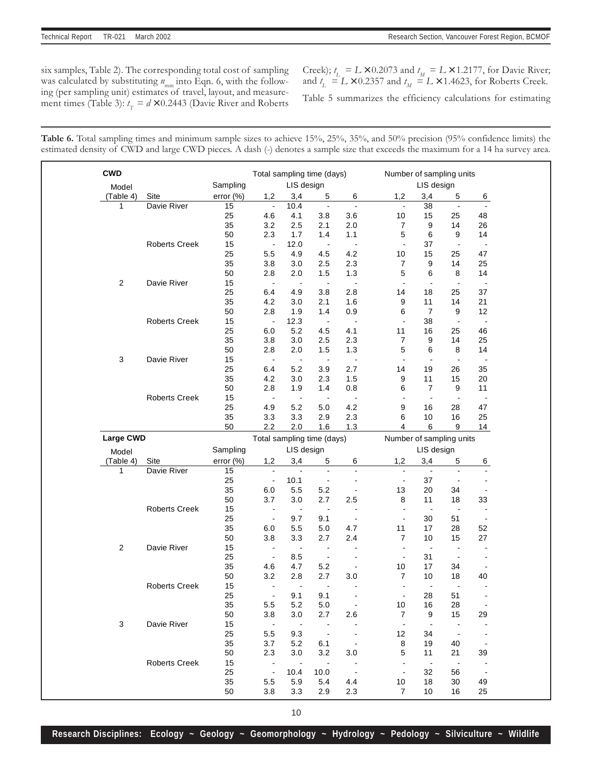six samples, Table 2). The corresponding total cost of sampling was calculated by substituting  $n_{\text{min}}$  into Eqn. 6, with the following (per sampling unit) estimates of travel, layout, and measurement times (Table 3):  $t<sub>T</sub> = d \times 0.2443$  (Davie River and Roberts

Creek);  $t_L = L \times 0.2073$  and  $t_M = L \times 1.2177$ , for Davie River; and  $t_{\text{L}} = L \times 0.2357$  and  $t_{\text{M}} = L \times 1.4623$ , for Roberts Creek.

Table 5 summarizes the efficiency calculations for estimating

Table 6. Total sampling times and minimum sample sizes to achieve 15%, 25%, 35%, and 50% precision (95% confidence limits) the estimated density of CWD and large CWD pieces. A dash (-) denotes a sample size that exceeds the maximum for a 14 ha survey area.

| <b>CWD</b>     |                      |              | Total sampling time (days) |                              |                       |                          | Number of sampling units         |                          |                          |                                |
|----------------|----------------------|--------------|----------------------------|------------------------------|-----------------------|--------------------------|----------------------------------|--------------------------|--------------------------|--------------------------------|
| Model          |                      | Sampling     |                            | LIS design                   |                       |                          |                                  | LIS design               |                          |                                |
| (Table 4)      | Site                 | error $(\%)$ | 1,2                        | 3,4                          | 5                     | 6                        | 1,2                              | 3,4                      | 5                        | 6                              |
| 1              | Davie River          | 15           | $\hat{\phantom{a}}$        | 10.4                         | $\hat{\phantom{a}}$   | $\overline{\phantom{a}}$ | $\sim$                           | 38                       | $\blacksquare$           | $\blacksquare$                 |
|                |                      | 25           | 4.6                        | 4.1                          | 3.8                   | 3.6                      | 10                               | 15                       | 25                       | 48                             |
|                |                      | 35           | 3.2                        | 2.5                          | 2.1                   | 2.0                      | 7                                | 9                        | 14                       | 26                             |
|                |                      | 50           | 2.3                        | 1.7                          | 1.4                   | 1.1                      | 5                                | 6                        | 9                        | 14                             |
|                | <b>Roberts Creek</b> | 15           | $\blacksquare$             | 12.0                         | $\blacksquare$        | $\blacksquare$           | $\overline{\phantom{a}}$         | 37                       | $\blacksquare$           | $\sim$                         |
|                |                      | 25           | 5.5                        | 4.9                          | 4.5                   | 4.2                      | 10                               | 15                       | 25                       | 47                             |
|                |                      | 35           | 3.8                        | 3.0                          | 2.5                   | 2.3                      | $\overline{7}$                   | 9                        | 14                       | 25                             |
|                |                      | 50           | 2.8                        | 2.0                          | 1.5                   | 1.3                      | 5                                | 6                        | 8                        | 14                             |
| $\overline{c}$ | Davie River          | 15           | $\blacksquare$             | $\blacksquare$               | $\blacksquare$        | $\blacksquare$           | $\blacksquare$                   | $\sim$                   | $\blacksquare$           | $\blacksquare$                 |
|                |                      | 25           | 6.4                        | 4.9                          | 3.8                   | 2.8                      | 14                               | 18                       | 25                       | 37                             |
|                |                      | 35           | 4.2                        | 3.0                          | 2.1                   | 1.6                      | 9                                | 11                       | 14                       | 21                             |
|                |                      | 50           | 2.8                        | 1.9                          | 1.4                   | 0.9                      | 6                                | $\overline{7}$           | 9                        | 12                             |
|                | <b>Roberts Creek</b> | 15           | $\overline{\phantom{a}}$   | 12.3                         | $\blacksquare$        | $\ddot{\phantom{a}}$     | $\overline{\phantom{a}}$         | 38                       | $\blacksquare$           | $\ddot{\phantom{1}}$           |
|                |                      | 25           | 6.0                        | 5.2                          | 4.5                   | 4.1                      | 11                               | 16                       | 25                       | 46                             |
|                |                      | 35           | 3.8                        | 3.0                          | 2.5                   | 2.3                      | 7                                | 9                        | 14                       | 25                             |
|                |                      | 50           | 2.8                        | 2.0                          | 1.5                   | 1.3                      | 5                                | 6                        | 8                        | 14                             |
| 3              | Davie River          | 15           | $\blacksquare$             | $\blacksquare$               | $\blacksquare$        | $\overline{\phantom{a}}$ | ä,                               | $\blacksquare$           | $\blacksquare$           | $\ddot{\phantom{1}}$           |
|                |                      | 25           | 6.4                        | 5.2                          | 3.9                   | 2.7                      | 14                               | 19                       | 26                       | 35                             |
|                |                      | 35           | 4.2                        | $3.0\,$                      | 2.3                   | 1.5                      | 9                                | 11                       | 15                       | 20                             |
|                |                      | 50           | 2.8                        | 1.9                          | 1.4                   | 0.8                      | 6                                | $\overline{7}$           | 9                        | 11                             |
|                | <b>Roberts Creek</b> |              |                            |                              |                       |                          | $\tilde{\phantom{a}}$            |                          | $\tilde{\phantom{a}}$    |                                |
|                |                      | 15           | $\blacksquare$             | $\sim$                       | $\blacksquare$        | $\blacksquare$           |                                  | $\sim$                   |                          | $\blacksquare$                 |
|                |                      | 25           | 4.9                        | 5.2                          | 5.0                   | 4.2                      | 9                                | 16                       | 28                       | 47                             |
|                |                      | 35<br>50     | 3.3<br>2.2                 | 3.3<br>2.0                   | 2.9<br>1.6            | 2.3<br>1.3               | 6<br>4                           | 10<br>6                  | 16<br>9                  | 25<br>14                       |
| Large CWD      |                      |              | Total sampling time (days) |                              |                       |                          |                                  | Number of sampling units |                          |                                |
|                |                      | Sampling     |                            | LIS design                   |                       |                          |                                  | LIS design               |                          |                                |
| Model          |                      |              |                            |                              |                       |                          |                                  |                          |                          |                                |
| (Table 4)      | Site                 | error (%)    | 1,2                        | 3,4                          | 5                     | 6                        | 1,2                              | 3,4                      | 5                        | $6 \overline{}$                |
| 1              | Davie River          | 15           | $\blacksquare$             | $\sim$                       | $\blacksquare$        | $\blacksquare$           | $\blacksquare$<br>$\overline{a}$ | $\sim$                   | $\blacksquare$           | $\blacksquare$                 |
|                |                      | 25           | $\blacksquare$             | 10.1                         | ä,                    | $\tilde{\phantom{a}}$    |                                  |                          |                          |                                |
|                |                      |              |                            |                              |                       |                          |                                  | 37                       | ä,                       | $\blacksquare$                 |
|                |                      | 35           | 6.0                        | 5.5                          | 5.2                   | $\blacksquare$           | 13                               | 20                       | 34                       | $\blacksquare$                 |
|                |                      | 50           | 3.7                        | 3.0                          | 2.7                   | 2.5                      | 8                                | 11                       | 18                       | 33                             |
|                | <b>Roberts Creek</b> | 15           | $\ddot{\phantom{a}}$       | $\blacksquare$               | $\blacksquare$        | $\blacksquare$           | $\blacksquare$                   | $\sim$                   | $\blacksquare$           | $\blacksquare$                 |
|                |                      | 25           | $\blacksquare$             | 9.7                          | 9.1                   | $\blacksquare$           | $\overline{\phantom{a}}$         | 30                       | 51                       | $\tilde{\phantom{a}}$          |
|                |                      | 35           | 6.0                        | 5.5                          | 5.0                   | 4.7                      | 11                               | 17                       | 28                       |                                |
|                |                      | 50           | 3.8                        | 3.3                          | 2.7                   | 2.4                      | $\overline{7}$                   | 10                       | 15                       | 27                             |
| $\overline{c}$ | Davie River          | 15           | $\blacksquare$             | $\blacksquare$               | $\blacksquare$        | $\ddot{\phantom{1}}$     | $\blacksquare$                   | $\overline{\phantom{a}}$ | $\frac{1}{2}$            | 52<br>$\blacksquare$           |
|                |                      | 25           | $\tilde{\phantom{a}}$      | 8.5                          | $\blacksquare$        | $\sim$                   | $\overline{a}$                   | 31                       | $\blacksquare$           | $\overline{\phantom{a}}$       |
|                |                      | 35           | 4.6                        | 4.7                          | 5.2                   | $\blacksquare$           | 10                               | 17                       | 34                       | $\blacksquare$                 |
|                |                      | 50           | 3.2                        | 2.8                          | 2.7                   | 3.0                      | 7                                | 10                       | 18                       | 40                             |
|                | <b>Roberts Creek</b> | 15           | $\blacksquare$             | $\overline{\phantom{a}}$     | $\blacksquare$        |                          |                                  | $\blacksquare$           | $\blacksquare$           |                                |
|                |                      | 25           |                            | 9.1                          | 9.1                   |                          |                                  | 28                       | 51                       |                                |
|                |                      | 35           | 5.5                        | 5.2                          | 5.0                   | $\overline{\phantom{a}}$ | 10                               | 16                       | 28                       |                                |
|                |                      | 50           | 3.8                        | 3.0                          | 2.7                   | 2.6                      | $\overline{7}$                   | 9                        | 15                       | 29                             |
| 3              | Davie River          | 15           | $\sim$                     | $\ddot{\phantom{1}}$         | $\blacksquare$        | $\blacksquare$           | $\sim$                           | $\sim$                   |                          | $\blacksquare$                 |
|                |                      | 25           | $5.5\,$                    | 9.3                          | $\blacksquare$        |                          | 12                               | 34                       | $\overline{\phantom{a}}$ |                                |
|                |                      | 35           | 3.7                        | 5.2                          | 6.1                   | $\blacksquare$           | 8                                | 19                       | 40                       |                                |
|                |                      |              |                            |                              |                       |                          | 5                                | 11                       |                          |                                |
|                |                      | 50           | 2.3<br>$\blacksquare$      | 3.0<br>$\tilde{\phantom{a}}$ | 3.2<br>$\blacksquare$ | 3.0                      |                                  | $\sim$                   | 21                       | 39                             |
|                | <b>Roberts Creek</b> | 15           |                            |                              |                       | $\bar{\phantom{a}}$      | $\blacksquare$                   |                          |                          |                                |
|                |                      | 25<br>35     | $\blacksquare$<br>5.5      | 10.4<br>5.9                  | 10.0<br>5.4           | 4.4                      | 10                               | 32<br>18                 | 56<br>30                 | $\overline{\phantom{a}}$<br>49 |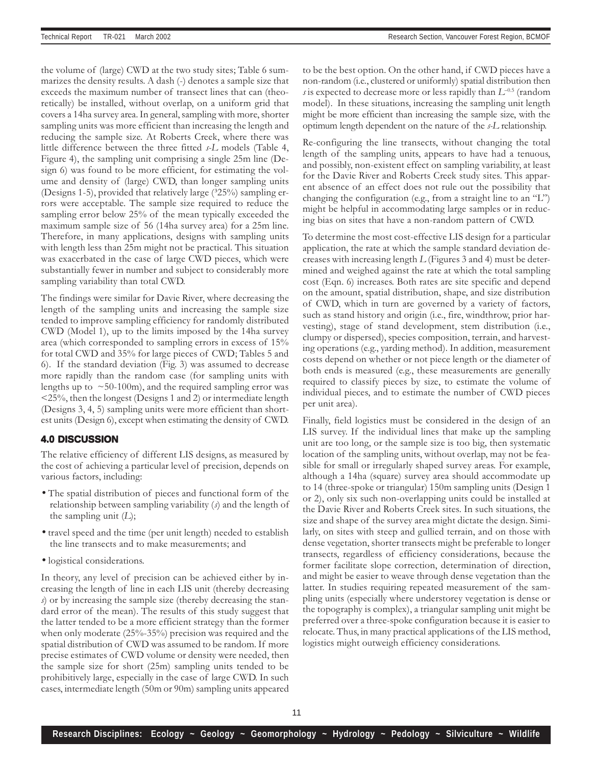the volume of (large) CWD at the two study sites; Table 6 summarizes the density results. A dash (-) denotes a sample size that exceeds the maximum number of transect lines that can (theoretically) be installed, without overlap, on a uniform grid that covers a 14ha survey area. In general, sampling with more, shorter sampling units was more efficient than increasing the length and reducing the sample size. At Roberts Creek, where there was little difference between the three fitted s-L models (Table 4, Figure 4), the sampling unit comprising a single 25m line (Design 6) was found to be more efficient, for estimating the volume and density of (large) CWD, than longer sampling units (Designs 1-5), provided that relatively large  $(325%)$  sampling errors were acceptable. The sample size required to reduce the sampling error below 25% of the mean typically exceeded the maximum sample size of 56 (14ha survey area) for a 25m line. Therefore, in many applications, designs with sampling units with length less than 25m might not be practical. This situation was exacerbated in the case of large CWD pieces, which were substantially fewer in number and subject to considerably more sampling variability than total CWD.

The findings were similar for Davie River, where decreasing the length of the sampling units and increasing the sample size tended to improve sampling efficiency for randomly distributed CWD (Model 1), up to the limits imposed by the 14ha survey area (which corresponded to sampling errors in excess of 15% for total CWD and 35% for large pieces of CWD; Tables 5 and 6). If the standard deviation (Fig. 3) was assumed to decrease more rapidly than the random case (for sampling units with lengths up to  $\sim$  50-100m), and the required sampling error was <25%, then the longest (Designs 1 and 2) or intermediate length (Designs 3, 4, 5) sampling units were more efficient than shortest units (Design 6), except when estimating the density of CWD.

#### **4.0 DISCUSSION**

The relative efficiency of different LIS designs, as measured by the cost of achieving a particular level of precision, depends on various factors, including:

- The spatial distribution of pieces and functional form of the relationship between sampling variability  $(s)$  and the length of the sampling unit  $(L)$ ;
- travel speed and the time (per unit length) needed to establish the line transects and to make measurements; and
- logistical considerations.

In theory, any level of precision can be achieved either by increasing the length of line in each LIS unit (thereby decreasing s) or by increasing the sample size (thereby decreasing the standard error of the mean). The results of this study suggest that the latter tended to be a more efficient strategy than the former when only moderate (25%-35%) precision was required and the spatial distribution of CWD was assumed to be random. If more precise estimates of CWD volume or density were needed, then the sample size for short (25m) sampling units tended to be prohibitively large, especially in the case of large CWD. In such cases, intermediate length (50m or 90m) sampling units appeared to be the best option. On the other hand, if CWD pieces have a non-random (i.e., clustered or uniformly) spatial distribution then s is expected to decrease more or less rapidly than  $L^{-0.5}$  (random model). In these situations, increasing the sampling unit length might be more efficient than increasing the sample size, with the optimum length dependent on the nature of the s-L relationship.

Re-configuring the line transects, without changing the total length of the sampling units, appears to have had a tenuous, and possibly, non-existent effect on sampling variability, at least for the Davie River and Roberts Creek study sites. This apparent absence of an effect does not rule out the possibility that changing the configuration (e.g., from a straight line to an "L") might be helpful in accommodating large samples or in reducing bias on sites that have a non-random pattern of CWD.

To determine the most cost-effective LIS design for a particular application, the rate at which the sample standard deviation decreases with increasing length L (Figures 3 and 4) must be determined and weighed against the rate at which the total sampling cost (Eqn. 6) increases. Both rates are site specific and depend on the amount, spatial distribution, shape, and size distribution of CWD, which in turn are governed by a variety of factors, such as stand history and origin (i.e., fire, windthrow, prior harvesting), stage of stand development, stem distribution (i.e., clumpy or dispersed), species composition, terrain, and harvesting operations (e.g., yarding method). In addition, measurement costs depend on whether or not piece length or the diameter of both ends is measured (e.g., these measurements are generally required to classify pieces by size, to estimate the volume of individual pieces, and to estimate the number of CWD pieces per unit area).

Finally, field logistics must be considered in the design of an LIS survey. If the individual lines that make up the sampling unit are too long, or the sample size is too big, then systematic location of the sampling units, without overlap, may not be feasible for small or irregularly shaped survey areas. For example, although a 14ha (square) survey area should accommodate up to 14 (three-spoke or triangular) 150m sampling units (Design 1 or 2), only six such non-overlapping units could be installed at the Davie River and Roberts Creek sites. In such situations, the size and shape of the survey area might dictate the design. Similarly, on sites with steep and gullied terrain, and on those with dense vegetation, shorter transects might be preferable to longer transects, regardless of efficiency considerations, because the former facilitate slope correction, determination of direction, and might be easier to weave through dense vegetation than the latter. In studies requiring repeated measurement of the sampling units (especially where understorey vegetation is dense or the topography is complex), a triangular sampling unit might be preferred over a three-spoke configuration because it is easier to relocate. Thus, in many practical applications of the LIS method, logistics might outweigh efficiency considerations.